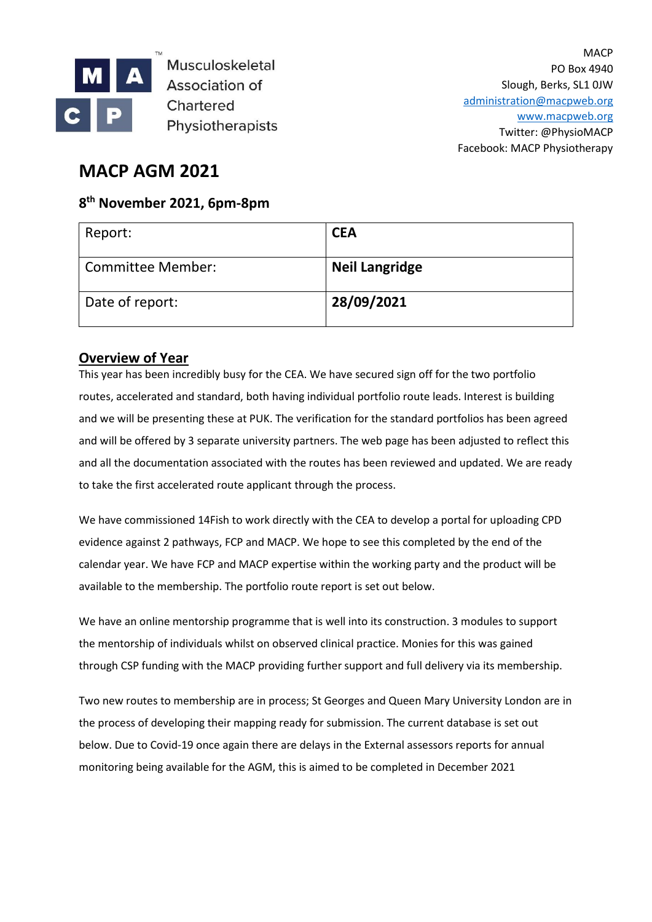

Musculoskeletal Association of Chartered Physiotherapists

## **MACP AGM 2021**

## **8 th November 2021, 6pm-8pm**

| Report:                  | <b>CEA</b>            |
|--------------------------|-----------------------|
| <b>Committee Member:</b> | <b>Neil Langridge</b> |
| Date of report:          | 28/09/2021            |

## **Overview of Year**

This year has been incredibly busy for the CEA. We have secured sign off for the two portfolio routes, accelerated and standard, both having individual portfolio route leads. Interest is building and we will be presenting these at PUK. The verification for the standard portfolios has been agreed and will be offered by 3 separate university partners. The web page has been adjusted to reflect this and all the documentation associated with the routes has been reviewed and updated. We are ready to take the first accelerated route applicant through the process.

We have commissioned 14Fish to work directly with the CEA to develop a portal for uploading CPD evidence against 2 pathways, FCP and MACP. We hope to see this completed by the end of the calendar year. We have FCP and MACP expertise within the working party and the product will be available to the membership. The portfolio route report is set out below.

We have an online mentorship programme that is well into its construction. 3 modules to support the mentorship of individuals whilst on observed clinical practice. Monies for this was gained through CSP funding with the MACP providing further support and full delivery via its membership.

Two new routes to membership are in process; St Georges and Queen Mary University London are in the process of developing their mapping ready for submission. The current database is set out below. Due to Covid-19 once again there are delays in the External assessors reports for annual monitoring being available for the AGM, this is aimed to be completed in December 2021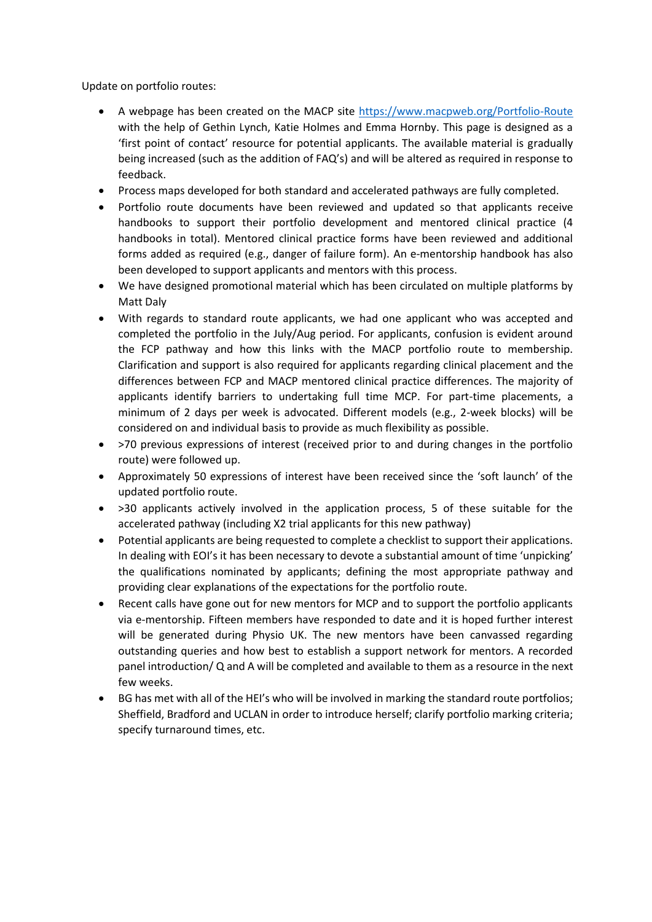Update on portfolio routes:

- A webpage has been created on the MACP site<https://www.macpweb.org/Portfolio-Route> with the help of Gethin Lynch, Katie Holmes and Emma Hornby. This page is designed as a 'first point of contact' resource for potential applicants. The available material is gradually being increased (such as the addition of FAQ's) and will be altered as required in response to feedback.
- Process maps developed for both standard and accelerated pathways are fully completed.
- Portfolio route documents have been reviewed and updated so that applicants receive handbooks to support their portfolio development and mentored clinical practice (4 handbooks in total). Mentored clinical practice forms have been reviewed and additional forms added as required (e.g., danger of failure form). An e-mentorship handbook has also been developed to support applicants and mentors with this process.
- We have designed promotional material which has been circulated on multiple platforms by Matt Daly
- With regards to standard route applicants, we had one applicant who was accepted and completed the portfolio in the July/Aug period. For applicants, confusion is evident around the FCP pathway and how this links with the MACP portfolio route to membership. Clarification and support is also required for applicants regarding clinical placement and the differences between FCP and MACP mentored clinical practice differences. The majority of applicants identify barriers to undertaking full time MCP. For part-time placements, a minimum of 2 days per week is advocated. Different models (e.g., 2-week blocks) will be considered on and individual basis to provide as much flexibility as possible.
- >70 previous expressions of interest (received prior to and during changes in the portfolio route) were followed up.
- Approximately 50 expressions of interest have been received since the 'soft launch' of the updated portfolio route.
- >30 applicants actively involved in the application process, 5 of these suitable for the accelerated pathway (including X2 trial applicants for this new pathway)
- Potential applicants are being requested to complete a checklist to support their applications. In dealing with EOI's it has been necessary to devote a substantial amount of time 'unpicking' the qualifications nominated by applicants; defining the most appropriate pathway and providing clear explanations of the expectations for the portfolio route.
- Recent calls have gone out for new mentors for MCP and to support the portfolio applicants via e-mentorship. Fifteen members have responded to date and it is hoped further interest will be generated during Physio UK. The new mentors have been canvassed regarding outstanding queries and how best to establish a support network for mentors. A recorded panel introduction/ Q and A will be completed and available to them as a resource in the next few weeks.
- BG has met with all of the HEI's who will be involved in marking the standard route portfolios; Sheffield, Bradford and UCLAN in order to introduce herself; clarify portfolio marking criteria; specify turnaround times, etc.